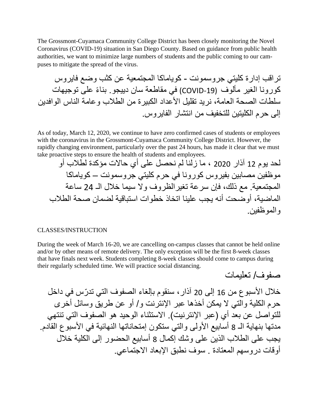The Grossmont-Cuyamaca Community College District has been closely monitoring the Novel Coronavirus (COVID-19) situation in San Diego County. Based on guidance from public health authorities, we want to minimize large numbers of students and the public coming to our campuses to mitigate the spread of the virus.

تراقب إدارة كليتي جروسمونت - كوياماكا المجتمعية عن كثب وضع فايروس كورونا الغير مألوف (COVID-19) في مقاطعة سان دييجو ٍ بناءً على توجيهات سلطات الصحة العامة، نريد تقليل الأعداد الكبير ة من الطلاب و عامة الناس الو افدين إلى حرم الكليتين للتخفيف من انتشار الفايروس.

As of today, March 12, 2020, we continue to have zero confirmed cases of students or employees with the coronavirus in the Grossmont-Cuyamaca Community College District. However, the rapidly changing environment, particularly over the past 24 hours, has made it clear that we must take proactive steps to ensure the health of students and employees.

لحد يوم 12 آذار 2020 ، ما زلنا لم نحصل على أي حاالت مؤكدة لطالب أو موظفين مصابين بفيروس كورونا في حرم كليتي جروسمونت – كوياماكا المجتمعية. مع ذلك، فإن سرعة تغيرالظروف وال سيما خالل الـ 24 ساعة الماضية، أوضحت أنه يجب علينا اتخاذ خطوات استباقية لضمان صحة الطالب والموظفين.

## CLASSES/INSTRUCTION

During the week of March 16-20, we are cancelling on-campus classes that cannot be held online and/or by other means of remote delivery. The only exception will be the first 8-week classes that have finals next week. Students completing 8-week classes should come to campus during their regularly scheduled time. We will practice social distancing.

صفوف/ تعليمات

خلال الأسبو ع من 16 إلى 20 آذار ، سنقوم بإلغاء الصفوف التي تدرّس في داخل حرم الكلية والتي ال يمكن أخذها عبر اإلنترنت و/ أو عن طريق وسائل أخرى للتواصل عن بعد أي (عبر الإنترنيت). الاستثناء الوحيد هو الصفوف التي تنتهي مدتها بنهاية الـ 8 أسابيع الأولى والتي ستكون إمتحاناتها النهائية في الأسبوع القادم. يجب على الطالب الذين على وشك إكمال 8 أسابيع الحضور إلى الكلية خالل أوقات دروسهم المعتادة . سوف نطبق اإلبعاد االجتماعي.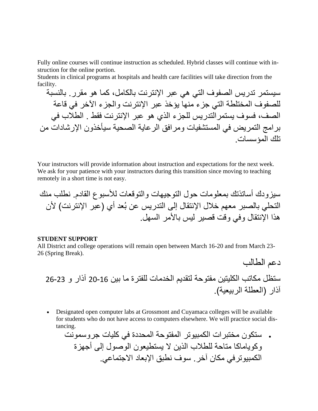Fully online courses will continue instruction as scheduled. Hybrid classes will continue with instruction for the online portion.

Students in clinical programs at hospitals and health care facilities will take direction from the facility.

سيستمر تدريس الصفوف التي هي عبر اإلنترنت بالكامل، كما هو مقرر. بالنسبة للصفوف المختلطة التي جزء منها يؤخذ عبر اإلنترنت والجزء اآلخر في قاعة الصف، فسوف يستمرالتدريس للجزء الذي هو عبر اإلنترنت فقط . الطالب في برامج التمريض في المستشفيات ومرافق الرعاية الصحية سيأخذون اإلرشادات من تلك المؤسسات.

Your instructors will provide information about instruction and expectations for the next week. We ask for your patience with your instructors during this transition since moving to teaching remotely in a short time is not easy.

سيزودك أساتذتك بمعلومات حول التوجيهات والتوقعات لألسبوع القادم. نطلب منك التحلي بالصبر معهم خالل اإلنتقال إلى التدريس عن بُعد أي )عبر اإلنترنت( ألن هذا اإلنتقال وفي وقت قصير ليس باألمر السهل.

## **STUDENT SUPPORT**

All District and college operations will remain open between March 16-20 and from March 23- 26 (Spring Break).

دعم الطالب ستظل مكاتب الكليتين مفتوحة لتقديم الخدمات للفترة ما بين 20-16 آذار و 26-23 آذار )العطلة الربيعية(.

• Designated open computer labs at Grossmont and Cuyamaca colleges will be available for students who do not have access to computers elsewhere. We will practice social distancing.

• ستكون مختبرات الكمبيوتر المفتوحة المحددة في كليات جروسمونت وكوياماكا متاحة للطالب الذين ال يستطيعون الوصول إلى أجهزة الكمبيوترفي مكان آخر. سوف نطبق اإلبعاد االجتماعي.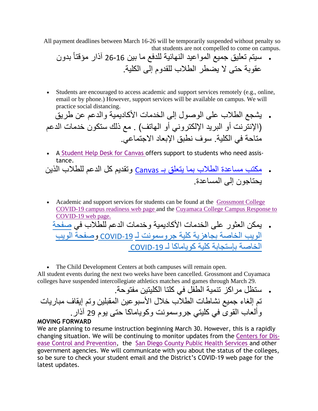All payment deadlines between March 16-26 will be temporarily suspended without penalty so that students are not compelled to come on campus.

• سيتم تعليق جميع المواعيد النهائية للدفع ما بين 26-16 بدون آذار مؤقتاً عقوبة حتى ال يضطر الطالب للقدوم إلى الكلية.

• Students are encouraged to access academic and support services remotely (e.g., online, email or by phone.) However, support services will be available on campus. We will practice social distancing.

• يشجع الطالب على الوصول إلى الخدمات األكاديمية والدعم عن طريق )اإلنترنت أو البريد ا إللكتروني أو الهاتف( . مع ذلك ستكون خدمات الدعم متاحة في الكلية. سوف نطبق اإلبعاد االجتماعي.

- A [Student Help Desk for Canvas](http://r20.rs6.net/tn.jsp?t=tadn9eabb.0.0.ugt6rllab.0&id=preview&r=3&p=https%3A%2F%2Fwww.gcccd.edu%2Fonline%2Fstudent%2Fonline-student-help-desk%2Fdefault.html) offers support to students who need assistance.
- [مكتب مساعدة الطالب بما يتعلق بـ](https://www.gcccd.edu/online/student/online-student-help-desk/default.html) [Canvas](https://www.gcccd.edu/online/student/online-student-help-desk/default.html) وتقديم كل الدعم للطالب الذين يحتاجون إلى المساعدة.
- Academic and support services for students can be found at the Grossmont College [COVID-19 campus readiness web page](http://r20.rs6.net/tn.jsp?t=tadn9eabb.0.0.ugt6rllab.0&id=preview&r=3&p=https%3A%2F%2Fwww.grossmont.edu%2Fcovid19%2F) and the [Cuyamaca College Campus Response to](http://r20.rs6.net/tn.jsp?t=tadn9eabb.0.0.ugt6rllab.0&id=preview&r=3&p=https%3A%2F%2Fcuyamaca.edu%2Fcovid19%2F)  [COVID-19 web page.](http://r20.rs6.net/tn.jsp?t=tadn9eabb.0.0.ugt6rllab.0&id=preview&r=3&p=https%3A%2F%2Fcuyamaca.edu%2Fcovid19%2F) • يمكن العثور على الخدمات األكاديمية وخدمات الدعم للطالب في [صفحة](https://www.grossmont.edu/covid19/)  [الويب الخاصة بجاهزية كلية جروسمونت لـ](https://www.grossmont.edu/covid19/) COVID-19 وصفحة الويب [الخاصة بإستجابة كلية كوياماكا لـ](https://cuyamaca.edu/covid19/)ـ COVID-19

• The Child Development Centers at both campuses will remain open. All student events during the next two weeks have been cancelled. Grossmont and Cuyamaca colleges have suspended intercollegiate athletics matches and games through March 29.

• ستظل مراكز تنمية الطفل في كلتا الكليتين مفتوحة. تم إلغاء جميع نشاطات الطالب خالل األسبوعين المقبلين وتم إيقاف مباريات وألعاب القوى في كليتي جروسمونت وكوياماكا حتى يوم 29 آذار.

## **MOVING FORWARD**

We are planning to resume instruction beginning March 30. However, this is a rapidly changing situation. We will be continuing to monitor updates from the [Centers for Dis](http://r20.rs6.net/tn.jsp?t=tadn9eabb.0.0.ugt6rllab.0&id=preview&r=3&p=https%3A%2F%2Fwww.cdc.gov%2F)[ease Control and Prevention,](http://r20.rs6.net/tn.jsp?t=tadn9eabb.0.0.ugt6rllab.0&id=preview&r=3&p=https%3A%2F%2Fwww.cdc.gov%2F) the [San Diego County Public Health Services](http://r20.rs6.net/tn.jsp?t=tadn9eabb.0.0.ugt6rllab.0&id=preview&r=3&p=https%3A%2F%2Fwww.sandiegocounty.gov%2Fcontent%2Fsdc%2Fhhsa%2Fprograms%2Fphs.html) and other government agencies. We will communicate with you about the status of the colleges, so be sure to check your student email and the District's COVID-19 web page for the latest updates.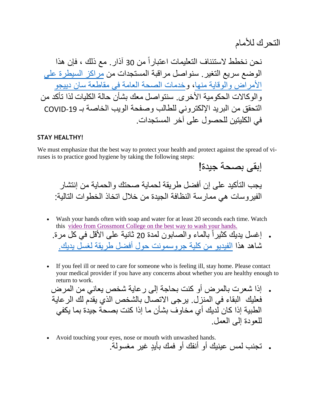التحر ك للأمام

إبقى بصحة جيدة!

نحن نخطط لاستئناف التعليمات اعتباراً من 30 آذار . مع ذلك ، فإن هذا الوضع سريع التغير. سنواصل مراقبة المستجدات من [مراكز السيطرة على](https://www.cdc.gov/)  [األمراض والوقاية منها،](https://www.cdc.gov/) [وخدمات الصحة العامة في مقاطعة سان دييجو](https://www.sandiegocounty.gov/content/sdc/hhsa/programs/phs.html)  و الوكالات الحكومية الأخرى. سنتواصل معك بشأن حالة الكليات لذا تأكد من التحقق من البريد الإلكتروني للطالب وصفحة الويب الخاصة بـ COVID-19 في الكليتين للحصول على آخر المستجدات.

## **STAY HEALTHY!**

We must emphasize that the best way to protect your health and protect against the spread of viruses is to practice good hygiene by taking the following steps:

يجب التأكيد على إن أفضل طريقة لحماية صحتك والحماية من إنتشار الفير و سات هي ممار سة النظافة الجيدة من خلال اتخاذ الخطو ات التالية:

- Wash your hands often with soap and water for at least 20 seconds each time. Watch this [video from Grossmont College on the best way to wash your hands.](http://r20.rs6.net/tn.jsp?t=tadn9eabb.0.0.ugt6rllab.0&id=preview&r=3&p=https%3A%2F%2Fwww.youtube.com%2Fwatch%3Fv%3Dr9BtyYcfy6k%26feature%3Dyoutu.be) . إغسل يديك كثيراً بالماء والصابون لمدة 20 ثانية على الأقل في كل مرة. شاهد هذا [الفيديو من كلية جروسمونت حول أفضل طريقة لغسل يديك .](https://www.youtube.com/watch?v=r9BtyYcfy6k&feature=youtu.be)
- If you feel ill or need to care for someone who is feeling ill, stay home. Please contact your medical provider if you have any concerns about whether you are healthy enough to return to work.

• إذا شعرت بالمرض أو كنت بحاجة إلى رعاية شخص يعاني من المرض فعليك البقاء في المنزل. يرجى االتصال بالشخص الذي يقدم لك الرعاية الطبية إذا كان لديك أي مخاوف بشأن ما إذا كنت بصحة جيدة بما يكفي للعودة إلى العمل.

• Avoid touching your eyes, nose or mouth with unwashed hands. • تجنب لمس عينيك أو أنفك أو فمك بأيٍد غير مغسولة.